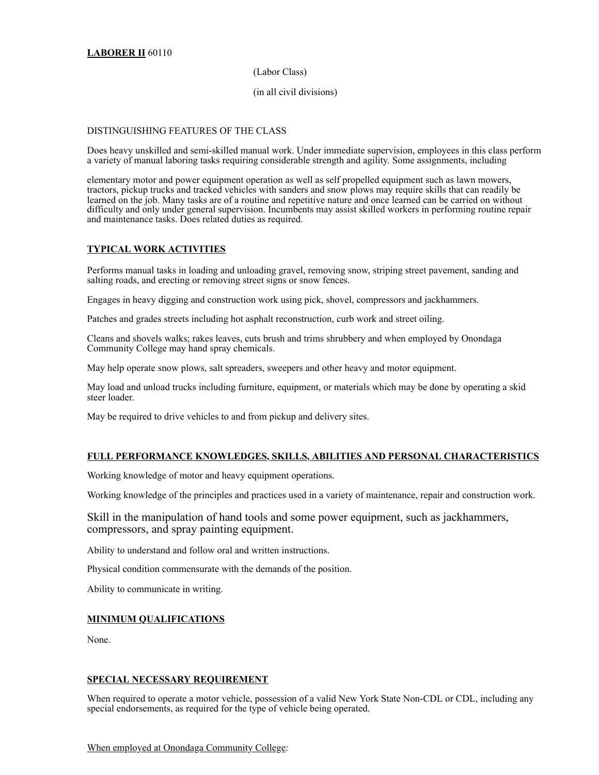# (Labor Class)

## (in all civil divisions)

### DISTINGUISHING FEATURES OF THE CLASS

Does heavy unskilled and semi-skilled manual work. Under immediate supervision, employees in this class perform a variety of manual laboring tasks requiring considerable strength and agility. Some assignments, including

elementary motor and power equipment operation as well as self propelled equipment such as lawn mowers, tractors, pickup trucks and tracked vehicles with sanders and snow plows may require skills that can readily be learned on the job. Many tasks are of a routine and repetitive nature and once learned can be carried on without difficulty and only under general supervision. Incumbents may assist skilled workers in performing routine repair and maintenance tasks. Does related duties as required.

# **TYPICAL WORK ACTIVITIES**

Performs manual tasks in loading and unloading gravel, removing snow, striping street pavement, sanding and salting roads, and erecting or removing street signs or snow fences.

Engages in heavy digging and construction work using pick, shovel, compressors and jackhammers.

Patches and grades streets including hot asphalt reconstruction, curb work and street oiling.

Cleans and shovels walks; rakes leaves, cuts brush and trims shrubbery and when employed by Onondaga Community College may hand spray chemicals.

May help operate snow plows, salt spreaders, sweepers and other heavy and motor equipment.

May load and unload trucks including furniture, equipment, or materials which may be done by operating a skid steer loader.

May be required to drive vehicles to and from pickup and delivery sites.

# **FULL PERFORMANCE KNOWLEDGES, SKILLS, ABILITIES AND PERSONAL CHARACTERISTICS**

Working knowledge of motor and heavy equipment operations.

Working knowledge of the principles and practices used in a variety of maintenance, repair and construction work.

Skill in the manipulation of hand tools and some power equipment, such as jackhammers, compressors, and spray painting equipment.

Ability to understand and follow oral and written instructions.

Physical condition commensurate with the demands of the position.

Ability to communicate in writing.

### **MINIMUM QUALIFICATIONS**

None.

#### **SPECIAL NECESSARY REQUIREMENT**

When required to operate a motor vehicle, possession of a valid New York State Non-CDL or CDL, including any special endorsements, as required for the type of vehicle being operated.

# When employed at Onondaga Community College: